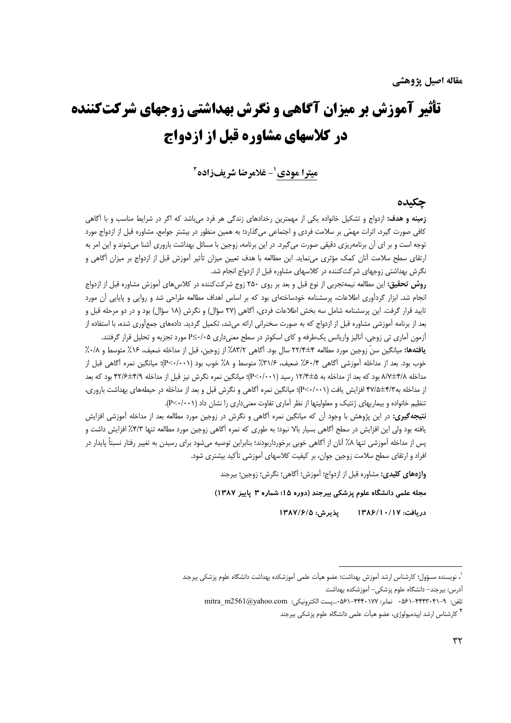# تأثیر آموزش بر میزان آگاهی و نگرش بهداشتی زوجهای شرکتکننده در کلاسهای مشاوره قبل از ازدواج

ميترا مودي <sup>1</sup>- غلامرضا شريفزاده <sup>2</sup>

## جكىدە

**زمینه و هدف:** ازدواج و تشکیل خانواده یکی از مهمترین رخدادهای زندگی هر فرد میباشد که اگر در شرایط مناسب و با آگاهی کافی صورت گیرد، اثرات مهمّی بر سلامت فردی و اجتماعی میگذارد؛ به همین منظور در بیشتر جوامع، مشاوره قبل از ازدواج مورد توجه است و بر ای آن برنامهریزی دقیقی صورت میگیرد. در این برنامه، زوجین با مسائل بهداشت باروری آشنا میشوند و این امر به ارتقای سطح سلامت آنان کمک مؤثری میiماید. این مطالعه با هدف تعیین میزان تأثیر آموزش قبل از ازدواج بر میزان آگاهی و نگرش بهداشتی زوجهای شرکت کننده در کلاسهای مشاوره قبل از ازدواج انجام شد.

**روش تحقیق:** این مطالعه نیمهتجربی از نوع قبل و بعد بر روی ۲۵۰ زوج شرکتکننده در کلاس های آموزش مشاوره قبل از ازدواج انجام شد. ابزار گردآوری اطلاعات، پرسشنامه خودساختهای بود که بر اساس اهداف مطالعه طراحی شد و روایی و پایایی آن مورد تایید قرار گرفت. این پرسشنامه شامل سه بخش اطلاعات فردی، آگاهی (۲۷ سؤال) و نگرش (۱۸ سؤال) بود و در دو مرحله قبل و بعد از برنامه آموزشی مشاوره قبل از ازدواج که به صورت سخنرانی ارائه میشد، تکمیل گردید. دادههای جمعآوری شده، با استفاده از آزمون آماری تی زوجی، آنالیز واریانس یکطرفه و کای اسکوئر در سطح معنیداری ۵۰/۰۵≥P مورد تجزیه و تحلیل قرار گرفتند.

يافتهها: ميانگين سنّ زوجين مورد مطالعه ٢٢/۴±۴ سال بود. آگاهي ٨٣/٢٪ از زوجين، قبل از مداخله ضعيف، ١۶٪ متوسط و ٠/٨٪ خوب بود. بعد از مداخله آموزشي آگاهي ۶۰/۴٪ ضعيف، ۳۱/۶٪ متوسط و ۸٪ خوب بود (P<۰/۰۰۱)؛ ميانگين نمره آگاهي قبل از مداخله ۸/۷±۴/۸ بود که بعد از مداخله به ۱۲/۴±۵ رسید (۲-۰/۰۰۱)؛ میانگین نمره نگرش نیز قبل از مداخله ۴۲/۶±۲/۶ بود که بعد از مداخله به۴/۳±۴۷/۵ افزایش یافت (P<۰/۰۰۱)؛ میانگین نمره آگاهی و نگرش قبل و بعد از مداخله در حیطههای بهداشت باروری، تنظیم خانواده و بیماریهای ژنتیک و معلولیتها از نظر آماری تفاوت معنیداری را نشان داد (۲۰۰۱/۰-P).

**نتیجه گیری:** در این پژوهش با وجود آن که میانگین نمره آگاهی و نگرش در زوجین مورد مطالعه بعد از مداخله آموزشی افزایش یافته بود ولی این افزایش در سطح آگاهی بسیار بالا نبود؛ به طوری که نمره آگاهی زوجین مورد مطالعه تنها ۴/۳٪ افزایش داشت و پس از مداخله آموزشی تنها ۸٪ آنان از آگاهی خوبی برخورداربودند؛ بنابراین توصیه میشود برای رسیدن به تغییر رفتار نسبتأ پایدار در افراد و ارتقای سطح سلامت زوجین جوان، بر کیفیت کلاسهای آموزشی تأکید بیشتری شود.

واژههای کلیدی: مشاوره قبل از ازدواج؛ آموزش؛ آگاهی؛ نگرش؛ زوجین؛ بیرجند

مجله علمی دانشگاه علوم پزشکی بیرجند (دوره ۱۵؛ شماره ۳ پاییز ۱۳۸۷)

دريافت: ١٣٨٤/١٠/١٣٨٤ \_\_ يذيرش: ١٣٨٧/۶/٥

<sup>`.</sup> نويسنده مسؤول؛ كارشناس ارشد آموزش بهداشت؛ عضو هيأت علمي آموزشكده بهداشت دانشگاه علوم پزشكي بيرجند آدرس: بیرجند– دانشگاه علوم پزشکی– آموزشکده بهداشت

تلفن: ٩-٢۴۴۳-۴۴۱-۵۶۱ نمابر: ۰۵۶۱-۴۴۴۰۱۷۷-۵۶۵-...پست الكترونيكي: mitra\_m2561@yahoo.com

<sup>&</sup>lt;sup>۲</sup> کارشناس ارشد اییدمیولوژی، عضو هیأت علمی دانشگاه علوم پزشکی بیرجند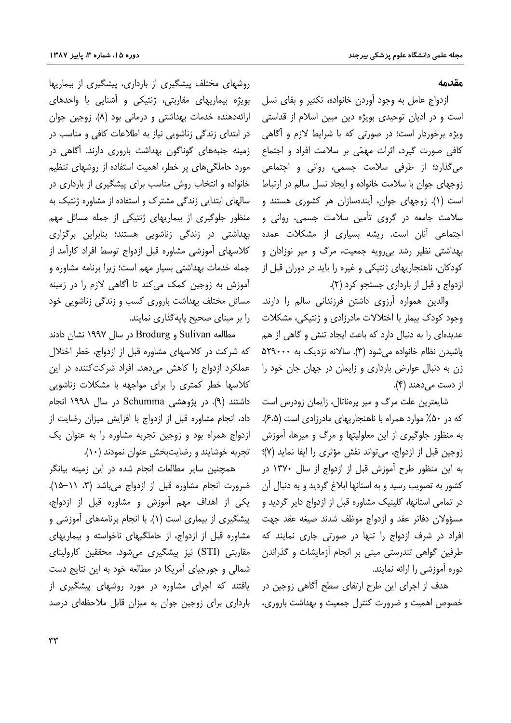#### مقدمه

ازدواج عامل به وجود آوردن خانواده، تكثير و بقاى نسل است و در ادیان توحیدی بویژه دین مبین اسلام از قداستی ویژه برخوردار است؛ در صورتی که با شرایط لازم و آگاهی کافی صورت گیرد، اثرات مهمّی بر سلامت افراد و اجتماع می گذارد؛ از طرفی سلامت جسمی، روانی و اجتماعی زوجهای جوان با سلامت خانواده و ایجاد نسل سالم در ارتباط است (۱). زوجهای جوان، آیندهسازان هر کشوری هستند و سلامت جامعه در گروی تأمین سلامت جسمی، روانی و اجتماعی آنان است. ریشه بسیاری از مشکلات عمده بهداشتی نظیر رشد بی رویه جمعیت، مرگ و میر نوزادان و کودکان، ناهنجاریهای ژنتیکی و غیره را باید در دوران قبل از ازدواج و قبل از بارداری جستجو کرد (۲).

والدین همواره آرزوی داشتن فرزندانی سالم را دارند. وجود کودک بیمار با اختلالات مادرزادی و ژنتیکی، مشکلات عدیدهای را به دنبال دارد که باعث ایجاد تنش و گاهی از هم یاشیدن نظام خانواده می شود (۳). سالانه نزدیک به ۵۲۹۰۰۰ زن به دنبال عوارض بارداری و زایمان در جهان جان خود را از دست می دهند (۴).

شایعترین علت مرگ و میر پرهناتال، زایمان زودرس است که در ۵۰٪ موارد همراه با ناهنجاریهای مادرزادی است (۶٬۵٪). به منظور جلوگیری از این معلولیتها و مرگ و میرها، آموزش زوجين قبل از ازدواج، مي تواند نقش مؤثري را ايفا نمايد (٧)؛ به این منظور طرح آموزش قبل از ازدواج از سال ۱۳۷۰ در کشور به تصویب رسید و به استانها ابلاغ گردید و به دنبال آن در تمامی استانها، کلینیک مشاوره قبل از ازدواج دایر گردید و مسؤولان دفاتر عقد و ازدواج موظف شدند صيغه عقد جهت افراد در شرف ازدواج را تنها در صورتی جاری نمایند که طرفین گواهی تندرستی مبنی بر انجام أزمایشات و گذراندن دوره آموزشی را ارائه نمایند.

هدف از اجرای این طرح ارتقای سطح آگاهی زوجین در خصوص اهمیت و ضرورت کنترل جمعیت و بهداشت باروری،

روشهای مختلف پیشگیری از بارداری، پیشگیری از بیماریها بویژه بیماریهای مقاربتی، ژنتیکی و آشنایی با واحدهای ارائهدهنده خدمات بهداشتی و درمانی بود (٨). زوجین جوان در ابتدای زندگی زناشویی نیاز به اطلاعات کافی و مناسب در زمینه جنبههای گوناگون بهداشت باروری دارند. آگاهی در مورد حاملگی های پر خطر، اهمیت استفاده از روشهای تنظیم خانواده و انتخاب روش مناسب برای پیشگیری از بارداری در سالهای ابتدایی زندگی مشترک و استفاده از مشاوره ژنتیک به منظور جلوگیری از بیماریهای ژنتیکی از جمله مسائل مهم بهداشتی در زندگی زناشویی هستند؛ بنابراین برگزاری كلاسهاى أموزشي مشاوره قبل ازدواج توسط افراد كارأمد از جمله خدمات بهداشتی بسیار مهم است؛ زیرا برنامه مشاوره و آموزش به زوجین کمک میکند تا آگاهی لازم را در زمینه مسائل مختلف بهداشت باروری کسب و زندگی زناشویی خود را بر مبنای صحیح پایهگذاری نمایند.

مطالعه Sulivan و Brodurg در سال ۱۹۹۷ نشان دادند که شرکت در کلاسهای مشاوره قبل از ازدواج، خطر اختلال عملکرد ازدواج را کاهش می دهد. افراد شرکت کننده در این كلاسها خطر كمترى را براى مواجهه با مشكلات زناشويي داشتند (۹). در پژوهشی Schumma در سال ۱۹۹۸ انجام داد، انجام مشاوره قبل از ازدواج با افزایش میزان رضایت از ازدواج همراه بود و زوجین تجربه مشاوره را به عنوان یک تجربه خوشایند و رضایتبخش عنوان نمودند (١٠).

همچنین سایر مطالعات انجام شده در این زمینه بیانگر ضرورت انجام مشاوره قبل از ازدواج می باشد (۳، ۱۱–۱۵). یکی از اهداف مهم آموزش و مشاوره قبل از ازدواج، پیشگیری از بیماری است (۱). با انجام برنامههای آموزشی و مشاوره قبل از ازدواج، از حاملگیهای ناخواسته و بیماریهای مقاربتی (STI) نیز پیشگیری می شود. محققین کارولینای شمالی و جورجیای آمریکا در مطالعه خود به این نتایج دست یافتند که اجرای مشاوره در مورد روشهای پیشگیری از بارداری برای زوجین جوان به میزان قابل ملاحظهای درصد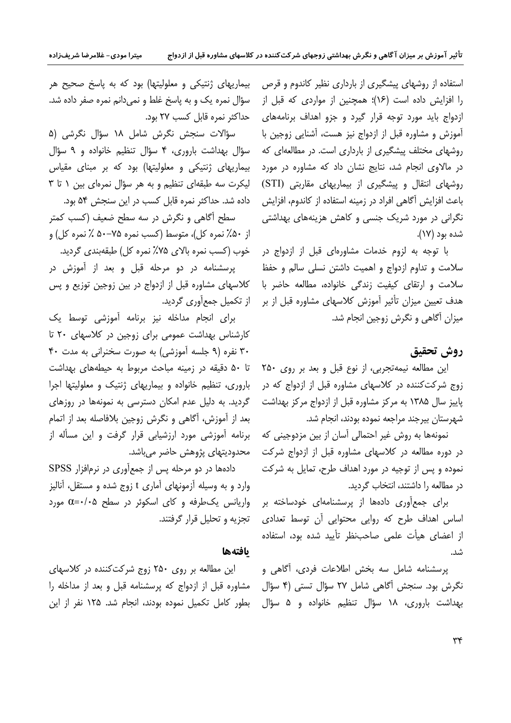استفاده از روشهای پیشگیری از بارداری نظیر کاندوم و قرص را افزایش داده است (۱۶)؛ همچنین از مواردی که قبل از ازدواج باید مورد توجه قرار گیرد و جزو اهداف برنامههای آموزش و مشاوره قبل از ازدواج نیز هست، آشنایی زوجین با روشهای مختلف پیشگیری از بارداری است. در مطالعهای که در مالاوی انجام شد، نتایج نشان داد که مشاوره در مورد روشهای انتقال و پیشگیری از بیماریهای مقاربتی (STI) باعث افزايش آگاهي افراد در زمينه استفاده از كاندوم، افزايش نگرانی در مورد شریک جنسی و کاهش هزینههای بهداشتی شده بود (۱۷).

با توجه به لزوم خدمات مشاورهای قبل از ازدواج در سلامت و تداوم ازدواج و اهمیت داشتن نسلی سالم و حفظ سلامت و ارتقای کیفیت زندگی خانواده، مطالعه حاضر با هدف تعیین میزان تأثیر آموزش کلاسهای مشاوره قبل از بر میزان آگاهی و نگرش زوجین انجام شد.

# روش تحقيق

این مطالعه نیمهتجربی، از نوع قبل و بعد بر روی ۲۵۰ زوج شرکتکننده در کلاسهای مشاوره قبل از ازدواج که در یاییز سال ۱۳۸۵ به مرکز مشاوره قبل از ازدواج مرکز بهداشت شهرستان بيرجند مراجعه نموده بودند، انجام شد.

نمونهها به روش غیر احتمالی آسان از بین مزدوجینی که در دوره مطالعه در کلاسهای مشاوره قبل از ازدواج شرکت نموده و پس از توجیه در مورد اهداف طرح، تمایل به شرکت در مطالعه را داشتند، انتخاب گردید.

برای جمع آوری دادهها از پرسشنامهای خودساخته بر اساس اهداف طرح که روایی محتوایی آن توسط تعدادی از اعضای هیأت علمی صاحبِنظر تأیید شده بود، استفاده شد.

پرسشنامه شامل سه بخش اطلاعات فردی، آگاهی و نگرش بود. سنجش أگاهی شامل ۲۷ سؤال تستی (۴ سؤال بهداشت باروری، ۱۸ سؤال تنظیم خانواده و ۵ سؤال

بیماریهای ژنتیکی و معلولیتها) بود که به پاسخ صحیح هر سؤال نمره یک و به پاسخ غلط و نمیدانم نمره صفر داده شد. حداكثر نمره قابل كسب ٢٧ بود.

میترا مودی– غلامرضا شریفزاده

سؤالات سنجش نگرش شامل ١٨ سؤال نگرشى (۵ سؤال بهداشت باروري، ۴ سؤال تنظيم خانواده و ۹ سؤال بیماریهای ژنتیکی و معلولیتها) بود که بر مبنای مقیاس لیکرت سه طبقهای تنظیم و به هر سؤال نمرهای بین ( تا ۳ داده شد. حداکثر نمره قابل کسب در این سنجش ۵۴ بود.

سطح آگاهی و نگرش در سه سطح ضعیف (کسب کمتر از ۵۰٪ نمره کل)، متوسط (کسب نمره ۷۵-۵۰٪ نمره کل) و خوب (کسب نمره بالای ۷۵٪ نمره کل) طبقهبندی گردید.

یرسشنامه در دو مرحله قبل و بعد از آموزش در كلاسهاى مشاوره قبل از ازدواج در بين زوجين توزيع و پس از تکمیل جمعأوری گردید.

برای انجام مداخله نیز برنامه آموزشی توسط یک کارشناس بهداشت عمومی برای زوجین در کلاسهای ۲۰ تا ۳۰ نفره (۹ جلسه آموزشی) به صورت سخنرانی به مدت ۴۰ تا ۵۰ دقیقه در زمینه مباحث مربوط به حیطههای بهداشت باروری، تنظیم خانواده و بیماریهای ژنتیک و معلولیتها اجرا گردید. به دلیل عدم امکان دسترسی به نمونهها در روزهای بعد از آموزش، آگاهی و نگرش زوجین بلافاصله بعد از اتمام برنامه آموزشی مورد ارزشیابی قرار گرفت و این مسأله از محدوديتهاي پژوهش حاضر مي باشد.

دادهها در دو مرحله پس از جمع آوري در نرم فزار SPSS وارد و به وسیله آزمونهای آماری t زوج شده و مستقل، آنالیز واریانس یک طرفه و کای اسکوئر در سطح ۵+۰- $\alpha$  مورد تجزیه و تحلیل قرار گرفتند.

## بافتهها

این مطالعه بر روی ۲۵۰ زوج شرکت کننده در کلاسهای مشاوره قبل از ازدواج که پرسشنامه قبل و بعد از مداخله را بطور كامل تكميل نموده بودند، انجام شد. ۱۲۵ نفر از اين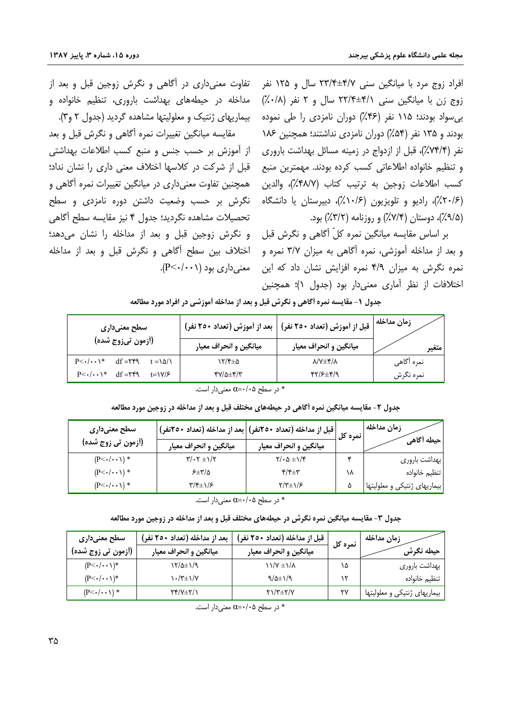افراد زوج مرد با میانگین سنی ۴/۷±۲۳/۴ سال و ۱۲۵ نفر زوج زن با میانگین سنی <del>۴/۱/ ۲۲/۴ سال و ۲ نفر (۰/۸٪)</del> بے سواد بودند؛ ۱۱۵ نفر (۴۶٪) دوران نامزدی را طی نمودہ بودند و ۱۳۵ نفر (۵۴٪) دوران نامزدی نداشتند؛ همچنین ۱۸۶ نفر (۷۴/۴٪)، قبل از ازدواج در زمینه مسائل بهداشت باروری و تنظیم خانواده اطلاعاتی کسب کرده بودند. مهمترین منبع كسب اطلاعات زوجين به ترتيب كتاب (۴۸/۷٪)، والدين (۲۰/۶٪)، رادیو و تلویزیون (۱۰/۶٪)، دبیرستان یا دانشگاه (۹/۵٪)، دوستان (۷/۴٪) و روزنامه (۳/۲٪) بود.

بر اساس مقایسه میانگین نمره کلّ آگاهی و نگرش قبل و بعد از مداخله آموزشی، نمره آگاهی به میزان ۳/۷ نمره و نمره نگرش به میزان ۴/۹ نمره افزایش نشان داد که این معنی داری بود (P<۰/۰۰۱). اختلافات از نظر آماری معنی دار بود (جدول ۱)؛ همچنین

تفاوت معنی داری در آگاهی و نگرش زوجین قبل و بعد از مداخله در حیطههای بهداشت باروری، تنظیم خانواده و بیماریهای ژنتیک و معلولیتها مشاهده گردید (جدول ۲ و۳). مقايسه ميانگين تغييرات نمره أگاهي و نگرش قبل و بعد

از آموزش بر حسب جنس و منبع کسب اطلاعات بهداشتی قبل از شرکت در کلاسها اختلاف معنی داری را نشان نداد؛ ِ همچنین تفاوت معنے داری در میانگین تغییرات نمرہ آگاهی و نگرش بر حسب وضعیت داشتن دوره نامزدی و سطح تحصیلات مشاهده نگردید؛ جدول ۴ نیز مقایسه سطح أگاهی و نگرش زوجین قبل و بعد از مداخله را نشان میدهد؛ اختلاف بین سطح آگاهی و نگرش قبل و بعد از مداخله

جدول ۱- مقایسه نمره اَگاهی و نگرش قبل و بعد از مداخله اَموزشی در افراد مورد مطالعه

| سطح معنیداری                                                            |                        | قبل از آموزش (تعداد ۲٥٠ نفر)   بعد از آموزش (تعداد ۲٥٠ نفر) | زمان مداخله |
|-------------------------------------------------------------------------|------------------------|-------------------------------------------------------------|-------------|
| (أزمون تيزوج شده)                                                       | میانگین و انحراف معیار | میانگین و انحراف معیار                                      | متغير       |
| $df = YfQ$<br>$t = \lambda \Delta / \lambda$<br>$P<\cdot/\cdot\cdot$ \* | ۱۲/۴±۵                 | $\lambda/\nu \pm \gamma/\lambda$                            | نمره آگاهی  |
| $df = YfQ$<br>$t = \frac{V}{\mathcal{F}}$<br>$P<\cdot/\cdot\cdot$ \*    | <b>۳</b> ۷/۵±۴/۳       | 414±917                                                     | نمره نگرش   |

\* در سطح ۵+/۰+0 معنى دار است.

جدول ۲- مقایسه میانگین نمره أگاهی در حیطههای مختلف قبل و بعد از مداخله در زوجین مورد مطالعه

| سطح معنیداری             |                                                                   | قبل از مداخله (تعداد ۲۵۰نفر)  بعد از مداخله (تعداد ۲۵۰نفر) | انمره کل | زمان مداخله                    |
|--------------------------|-------------------------------------------------------------------|------------------------------------------------------------|----------|--------------------------------|
| (أزمون تي زوج شده)       | میانگین و انحراف معیار                                            | میانگین و انحراف معیار                                     |          | حيطه أكاهم                     |
| $(P<\cdot/\cdot\cdot)$ * | $\mathbf{Y}/\boldsymbol{\cdot}\mathbf{Y}\pm\mathbf{1}/\mathbf{Y}$ | $\gamma/\cdot \Delta \pm 1/\xi$                            |          | بهداشت باروري                  |
| $(P<\cdot/\cdot\cdot)$ * | $5\pm 10$                                                         | $\mathbf{f}/\mathbf{f}$                                    | ۱۸       | تنظيم خانواده                  |
| $(P<\cdot/\cdot\cdot)$ * | $\frac{1}{2}$                                                     | $Y/Y \pm 1/\epsilon$                                       |          | بیماریهای ژنتیکی و معلولیتها ا |

\* در سطح ۵+/+=a معنىدار است.

جدول ۳- مقایسه میانگین نمره نگرش در حیطههای مختلف قبل و بعد از مداخله در زوجین مورد مطالعه

| سطح معنیداری                        | بعد از مداخله (تعداد ۲۵۰ نفر) | قبل از مداخله (تعداد ۲٥۰ نفر) | نمرہ کل | زمان مداخله                  |
|-------------------------------------|-------------------------------|-------------------------------|---------|------------------------------|
| (أزمون تي زوج شده)                  | ميانگين و انحراف معيار        | ميانگين و انحراف معيار        |         | حيطه نگرش                    |
| $(P<\cdot/\cdot\cdot)$ <sup>*</sup> | ۱۲/۵±۱/۹                      | $11/Y \pm 1/\lambda$          | ۱۵      | بهداشت باروري                |
| $(P<\cdot/\cdot\cdot)$ <sup>*</sup> | $\cdot$ /۳ $\pm$ ) / $\vee$   | $9/2\pm1/9$                   |         | تنظيم خانواده                |
| $(P<\cdot/\cdot\cdot)$ *            | <b>٢۴/٧±٢/١</b>               | $Y\ Y\#Y/Y$                   |         | بیماریهای ژنتیکی و معلولیتها |

در سطح ۵+/+= $\alpha$  معنے دار است.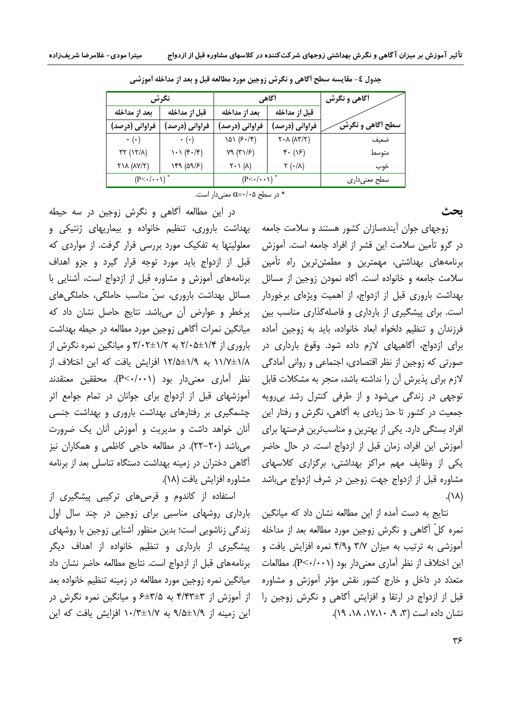| نگرش                                       |                     | أگاهي                               |                                                                        | <b>آگاهی و نگرش</b> |
|--------------------------------------------|---------------------|-------------------------------------|------------------------------------------------------------------------|---------------------|
| بعد از مداخله                              | قبل از مداخله       | بعد از مداخله                       | قبل از مداخله                                                          |                     |
| فراوانی (درصد)                             | فراوانی (درصد)      | فراوانی (درصد)                      | فراوانی (درصد)                                                         | سطح أگاهي و نگرشَ   |
| $\cdot$ ( $\cdot$ )                        | $\cdot$ ( $\cdot$ ) | 1۵۱ (۶۰/۴)                          | $\mathsf{Y} \cdot \mathsf{A}$ ( $\mathsf{A} \mathsf{Y} / \mathsf{Y}$ ) | ضعىف                |
| $\uparrow\uparrow$ (۱٢/٨)                  | ۱۰۱ (۴۰/۴)          | Y9 (T1/F)                           | $f \cdot (15)$                                                         | متوسط               |
| $Y$ $\wedge$ $($ $\wedge$ $Y$ $\wedge$ $)$ | (۹/۶۹ (۵۹           | $\gamma \cdot \gamma (\lambda)$     | (۰/۸ ۲                                                                 | خوب                 |
| $(P<\cdot/\cdot\cdot)$ <sup>*</sup>        |                     | $(P<\cdot/\cdot\cdot)$ <sup>*</sup> |                                                                        | سطح معنىدارى        |

جدول ٤- مقايسه سطح أگاهي و نگرش زوجين مورد مطالعه قبل و بعد از مداخله أموزشي

در سطح ۵+/۰= $\alpha$  معنى دار است.

ىحث

زوجهای جوان آیندهسازان کشور هستند و سلامت جامعه در گرو تأمین سلامت این قشر از افراد جامعه است. آموزش برنامههای بهداشتی، مهمترین و مطمئنترین راه تأمین سلامت جامعه و خانواده است. آگاه نمودن زوجین از مسائل بهداشت باروری قبل از ازدواج، از اهمیت ویژهای برخوردار است. برای پیشگیری از بارداری و فاصلهگذاری مناسب بین فرزندان و تنظیم دلخواه ابعاد خانواده، باید به زوجین آماده برای ازدواج، آگاهیهای لازم داده شود. وقوع بارداری در صورتی که زوجین از نظر اقتصادی، اجتماعی و روانی آمادگی لازم برای پذیرش آن را نداشته باشد، منجر به مشکلات قابل توجهی در زندگی میشود و از طرفی کنترل رشد بی رویه جمعیت در کشور تا حدّ زیادی به آگاهی، نگرش و رفتار این افراد بستگی دارد. یکی از بهترین و مناسبترین فرصتها برای آموزش این افراد، زمان قبل از ازدواج است. در حال حاضر یکی از وظایف مهم مراکز بهداشتی، برگزاری کلاسهای مشاوره قبل از ازدواج جهت زوجین در شرف ازدواج میباشد  $(\lambda \wedge)$ .

نتایج به دست آمده از این مطالعه نشان داد که میانگین نمره کلّ آگاهی و نگرش زوجین مورد مطالعه بعد از مداخله آموزشی به ترتیب به میزان ۳/۷ و۴/۹ نمره افزایش یافت و این اختلاف از نظر آماری معنیدار بود (P<۰/۰۰۱). مطالعات متعدّد در داخل و خارج کشور نقش مؤثر آموزش و مشاوره قبل از ازدواج در ارتقا و افزایش آگاهی و نگرش زوجین را نشان داده است (۳، ۹، ۱۷،۱۰، ۱۸، ۱۹).

در این مطالعه آگاهی و نگرش زوجین در سه حیطه بهداشت باروری، تنظیم خانواده و بیماریهای ژنتیکی و معلولیتها به تفکیک مورد بررسی قرار گرفت. از مواردی که قبل از ازدواج باید مورد توجه قرار گیرد و جزو اهداف برنامههای آموزش و مشاوره قبل از ازدواج است، آشنایی با مسائل بھداشت باروری، سنّ مناسب حاملگی، حاملگی های پرخطر و عوارض آن میباشد. نتایج حاصل نشان داد که میانگین نمرات آگاهی زوجین مورد مطالعه در حیطه بهداشت باروری از ۲/۰۵±۲/۰۵ به ۲/۰۲±۳/۰۲ و میانگین نمره نگرش از ۱/(±۱/\ به ١٢/٥±١٢/٥ افزايش يافت كه اين اختلاف از نظر أماري معنىدار بود (P<٠/٠٠١). محققين معتقدند آموزشهای قبل از ازدواج برای جوانان در تمام جوامع اثر چشمگیری بر رفتارهای بهداشت باروری و بهداشت جنسی آنان خواهد داشت و مدیریت و آموزش آنان یک ضرورت میباشد (٢٠-٢٢). در مطالعه حاجي كاظمي و همكاران نيز آگاهی دختران در زمینه بهداشت دستگاه تناسلی بعد از برنامه مشاوره افزايش يافت (١٨).

استفاده از کاندوم و قرصهای ترکیبی پیشگیری از بارداری روشهای مناسبی برای زوجین در چند سال اول زندگی زناشویی است؛ بدین منظور آشنایی زوجین با روشهای پیشگیری از بارداری و تنظیم خانواده از اهداف دیگر برنامههای قبل از ازدواج است. نتایج مطالعه حاضر نشان داد میانگین نمره زوجین مورد مطالعه در زمینه تنظیم خانواده بعد از آموزش از ۴/۴۳±۴ به ۳/۵±۶ و میانگین نمره نگرش در این زمینه از ۹/۵±۹/۵ به ۱۰/۳±۱۰/۳ افزایش یافت که این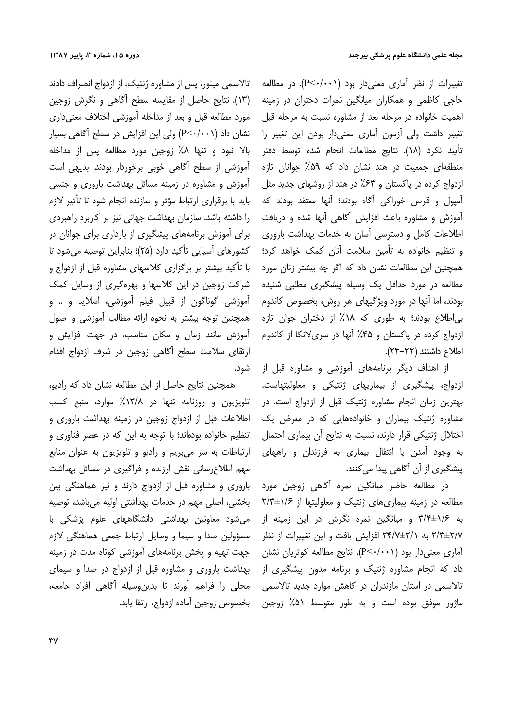تغییرات از نظر آماری معنی دار بود (P<۰/۰۰۱). در مطالعه حاجی کاظمی و همکاران میانگین نمرات دختران در زمینه اهمیت خانواده در مرحله بعد از مشاوره نسبت به مرحله قبل تغییر داشت ولی آزمون آماری معنیدار بودن این تغییر را تأييد نكرد (١٨). نتايج مطالعات انجام شده توسط دفتر منطقهای جمعیت در هند نشان داد که ۵۹٪ جوانان تازه ازدواج کرده در پاکستان و ۶۳٪ در هند از روشهای جدید مثل آمپول و قرص خوراکی آگاه بودند؛ آنها معتقد بودند که آموزش و مشاوره باعث افزایش آگاهی آنها شده و دریافت اطلاعات کامل و دسترسی آسان به خدمات بهداشت باروری و تنظیم خانواده به تأمین سلامت آنان کمک خواهد کرد؛ همچنین این مطالعات نشان داد که اگر چه بیشتر زنان مورد مطالعه در مورد حداقل یک وسیله پیشگیری مطلبی شنیده بودند، اما آنها در مورد ویژگیهای هر روش، بخصوص کاندوم بی|طلاع بودند؛ به طوری که ۱۸٪ از دختران جوان تازه ازدواج کرده در پاکستان و ۴۵٪ آنها در سریلانکا از کاندوم اطلاع داشتند (٢٢-٢۴).

از اهداف دیگر برنامههای آموزشی و مشاوره قبل از ازدواج، پیشگیری از بیماریهای ژنتیکی و معلولیتهاست. بهترین زمان انجام مشاوره ژنتیک قبل از ازدواج است. در مشاوره ژنتیک بیماران و خانوادههایی که در معرض یک اختلال ژنتیکی قرار دارند، نسبت به نتایج آن بیماری احتمال به وجود آمدن یا انتقال بیماری به فرزندان و راههای پیشگیری از آن آگاهی پیدا می کنند.

در مطالعه حاضر میانگین نمره آگاهی زوجین مورد مطالعه در زمینه بیماری های ژنتیک و معلولیتها از ۲/۳±۱/۶ به ۱/۶±۳/۴ و میانگین نمره نگرش در این زمینه از ۲/۳±۲/۷ به ۲۴/۷±۲/۱ افزایش یافت و این تغییرات از نظر آماری معنیدار بود (P<۰/۰۰۱). نتایج مطالعه کوثریان نشان داد که انجام مشاوره ژنتیک و برنامه مدون پیشگیری از تالاسمی در استان مازندران در کاهش موارد جدید تالاسمی ماژور موفق بوده است و به طور متوسط ۵۱٪ زوجین

تالاسمی مینور، پس از مشاوره ژنتیک، از ازدواج انصراف دادند (١٣). نتايج حاصل از مقايسه سطح آگاهي و نگرش زوجين مورد مطالعه قبل و بعد از مداخله آموزشی اختلاف معنی داری نشان داد (P<۰/۰۰۱) ولی این افزایش در سطح آگاهی بسیار بالا نبود و تنها ۸٪ زوجین مورد مطالعه پس از مداخله آموزشی از سطح آگاهی خوبی برخوردار بودند. بدیهی است آموزش و مشاوره در زمینه مسائل بهداشت باروری و جنسی باید با برقراری ارتباط مؤثر و سازنده انجام شود تا تأثیر لازم را داشته باشد. سازمان بهداشت جهانی نیز بر کاربرد راهبردی برای آموزش برنامههای پیشگیری از بارداری برای جوانان در کشورهای آسیایی تأکید دارد (۲۵)؛ بنابراین توصیه می شود تا با تأکید بیشتر بر برگزاری کلاسهای مشاوره قبل از ازدواج و شرکت زوجین در این کلاسها و بهرهگیری از وسایل کمک آموزشي گوناگون از قبيل فيلم آموزشي، اسلايد و .. و همچنین توجه بیشتر به نحوه ارائه مطالب آموزشی و اصول آموزش مانند زمان و مکان مناسب، در جهت افزایش و ارتقای سلامت سطح آگاهی زوجین در شرف ازدواج اقدام شود.

همچنین نتایج حاصل از این مطالعه نشان داد که رادیو، تلویزیون و روزنامه تنها در ۱۳/۸٪ موارد، منبع کسب اطلاعات قبل از ازدواج زوجین در زمینه بهداشت باروری و تنظیم خانواده بودهاند؛ با توجه به این که در عصر فناوری و ارتباطات به سر مىبريم و راديو و تلويزيون به عنوان منابع مهم اطلاع رسانی نقش ارزنده و فراگیری در مسائل بهداشت باروری و مشاوره قبل از ازدواج دارند و نیز هماهنگی بین بخشی، اصلی مهم در خدمات بهداشتی اولیه می باشد، توصیه می شود معاونین بهداشتی دانشگاههای علوم پزشکی با مسؤولين صدا و سيما و وسايل ارتباط جمعي هماهنگي لازم جهت تهیه و یخش برنامههای آموزشی کوتاه مدت در زمینه بهداشت باروری و مشاوره قبل از ازدواج در صدا و سیمای محلی را فراهم آورند تا بدین,وسیله آگاهی افراد جامعه، بخصوص زوجين آماده ازدواج، ارتقا يابد.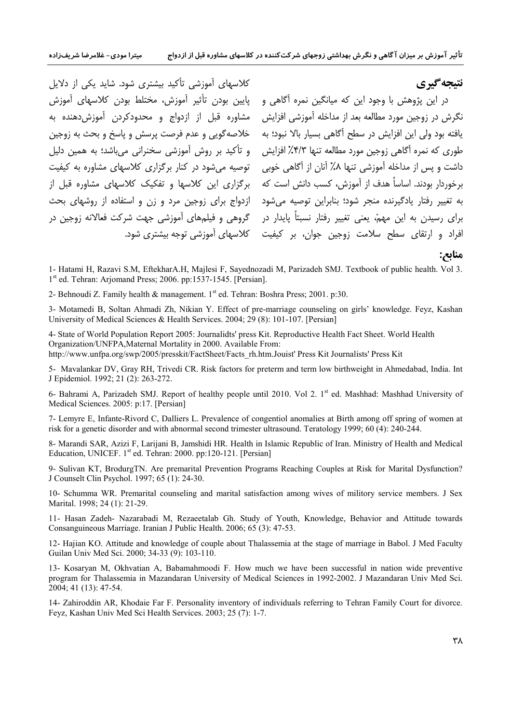کلاسهای آموزشی تأکید بیشتری شود. شاید یکی از دلایل در این پژوهش با وجود این که میانگین نمره آگاهی و هیایین بودن تأثیر آموزش، مختلط بودن کلاسهای آموزش گروهی و فیلمهای آموزشی جهت شرکت فعالانه زوجین در

نتيجه گيري

.<br>نگرش در زوجین مورد مطالعه بعد از مداخله آموزشی افزایش مشاوره قبل از ازدواج و محدودکردن آموزش،دهنده به یافته بود ولی این افزایش در سطح آگاهی بسیار بالا نبود؛ به مخلاصهگویی و عدم فرصت پرسش و پاسخ و بحث به زوجین طوری که نمره آگاهی زوجین مورد مطالعه تنها ۴/۳٪ افزایش په و تأکید بر روش آموزشی سخنرانی می باشد؛ به همین دلیل داشت و پس از مداخله آموزشی تنها ۸٪ آنان از آگاهی خوبی توصیه می شود در کنار برگزاری کلاسهای مشاوره به کیفیت برخوردار بودند. اساساً هدف از آموزش، کسب دانش است که ب برگزاری این کلاسها و تفکیک کلاسهای مشاوره قبل از به تغییر رفتار یادگیرنده منجر شود؛ بنابراین توصیه می شود ازدواج برای زوجین مرد و زن و استفاده از روشهای بحث برای رسیدن به این مهم،ّ یعنی تغییر رفتار نسبتاً پایدار در افراد و ارتقای سطح سلامت زوجین جوان، بر کیفیت کلاسهای آموزشی توجه بیشتری شود.

منابع:

1- Hatami H, Razavi S.M, EftekharA.H, Majlesi F, Savednozadi M, Parizadeh SMJ. Textbook of public health. Vol 3. 1<sup>st</sup> ed. Tehran: Arjomand Press; 2006. pp:1537-1545. [Persian].

2- Behnoudi Z. Family health & management. 1<sup>st</sup> ed. Tehran: Boshra Press; 2001. p:30.

3- Motamedi B, Soltan Ahmadi Zh, Nikian Y. Effect of pre-marriage counseling on girls' knowledge. Feyz, Kashan University of Medical Sciences & Health Services. 2004; 29 (8): 101-107. [Persian]

4- State of World Population Report 2005: Journalidts' press Kit. Reproductive Health Fact Sheet. World Health Organization/UNFPA, Maternal Mortality in 2000. Available From: http://www.unfpa.org/swp/2005/presskit/FactSheet/Facts\_rh.htm.Jouist' Press Kit Journalists' Press Kit

5- Mavalankar DV, Gray RH, Trivedi CR. Risk factors for preterm and term low birthweight in Ahmedabad, India. Int J Epidemiol. 1992; 21 (2): 263-272.

6- Bahrami A, Parizadeh SMJ. Report of healthy people until 2010. Vol 2. 1<sup>st</sup> ed. Mashhad: Mashhad University of Medical Sciences. 2005: p:17. [Persian]

7- Lemyre E, Infante-Rivord C, Dalliers L, Prevalence of congentiol anomalies at Birth among off spring of women at risk for a genetic disorder and with abnormal second trimester ultrasound. Teratology 1999: 60 (4): 240-244.

8- Marandi SAR, Azizi F, Larijani B, Jamshidi HR. Health in Islamic Republic of Iran. Ministry of Health and Medical Education, UNICEF. 1<sup>st</sup> ed. Tehran: 2000. pp:120-121. [Persian]

9- Sulivan KT, BrodurgTN. Are premarital Prevention Programs Reaching Couples at Risk for Marital Dysfunction? J Counselt Clin Psychol. 1997; 65 (1): 24-30.

10- Schumma WR. Premarital counseling and marital satisfaction among wives of militory service members. J Sex Marital. 1998: 24 (1): 21-29.

11- Hasan Zadeh- Nazarabadi M, Rezaeetalab Gh. Study of Youth, Knowledge, Behavior and Attitude towards Consanguineous Marriage. Iranian J Public Health. 2006; 65 (3): 47-53.

12- Hajian KO. Attitude and knowledge of couple about Thalassemia at the stage of marriage in Babol. J Med Faculty Guilan Univ Med Sci. 2000; 34-33 (9): 103-110.

13- Kosaryan M, Okhvatian A, Babamahmoodi F. How much we have been successful in nation wide preventive program for Thalassemia in Mazandaran University of Medical Sciences in 1992-2002. J Mazandaran Univ Med Sci. 2004: 41 (13): 47-54.

14- Zahiroddin AR, Khodaie Far F. Personality inventory of individuals referring to Tehran Family Court for divorce. Feyz, Kashan Univ Med Sci Health Services. 2003; 25 (7): 1-7.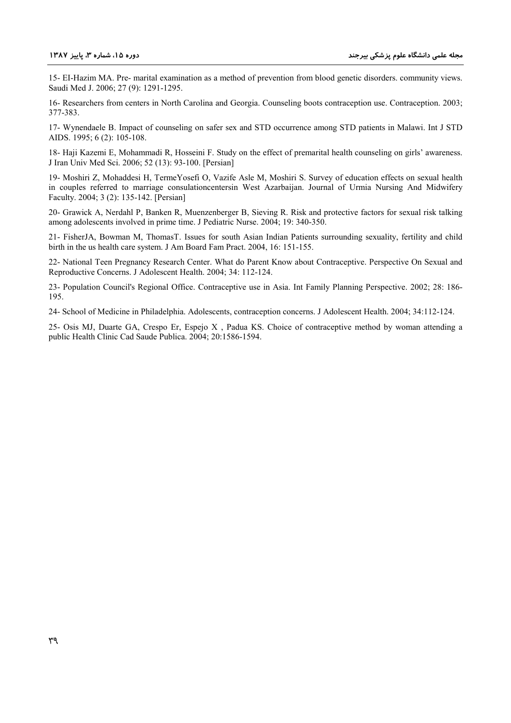15- EI-Hazim MA. Pre- marital examination as a method of prevention from blood genetic disorders. community views. Saudi Med J. 2006; 27 (9): 1291-1295.

16- Researchers from centers in North Carolina and Georgia. Counseling boots contraception use. Contraception. 2003; 377-383.

17- Wynendaele B. Impact of counseling on safer sex and STD occurrence among STD patients in Malawi. Int J STD AIDS. 1995; 6 (2): 105-108.

18- Haji Kazemi E, Mohammadi R, Hosseini F. Study on the effect of premarital health counseling on girls' awareness. J Iran Univ Med Sci. 2006; 52 (13): 93-100. [Persian]

19- Moshiri Z, Mohaddesi H, TermeYosefi O, Vazife Asle M, Moshiri S. Survey of education effects on sexual health in couples referred to marriage consulationcentersin West Azarbaijan. Journal of Urmia Nursing And Midwifery Faculty. 2004; 3 (2): 135-142. [Persian]

20- Grawick A, Nerdahl P, Banken R, Muenzenberger B, Sieving R. Risk and protective factors for sexual risk talking among adolescents involved in prime time. J Pediatric Nurse. 2004; 19: 340-350.

21- FisherJA, Bowman M, ThomasT. Issues for south Asian Indian Patients surrounding sexuality, fertility and child birth in the us health care system. J Am Board Fam Pract. 2004, 16: 151-155.

22- National Teen Pregnancy Research Center. What do Parent Know about Contraceptive. Perspective On Sexual and Reproductive Concerns. J Adolescent Health. 2004; 34: 112-124.

23- Population Council's Regional Office. Contraceptive use in Asia. Int Family Planning Perspective. 2002; 28: 186- 195.

24- School of Medicine in Philadelphia. Adolescents, contraception concerns. J Adolescent Health. 2004; 34:112-124.

25- Osis MJ, Duarte GA, Crespo Er, Espejo X , Padua KS. Choice of contraceptive method by woman attending a public Health Clinic Cad Saude Publica. 2004; 20:1586-1594.